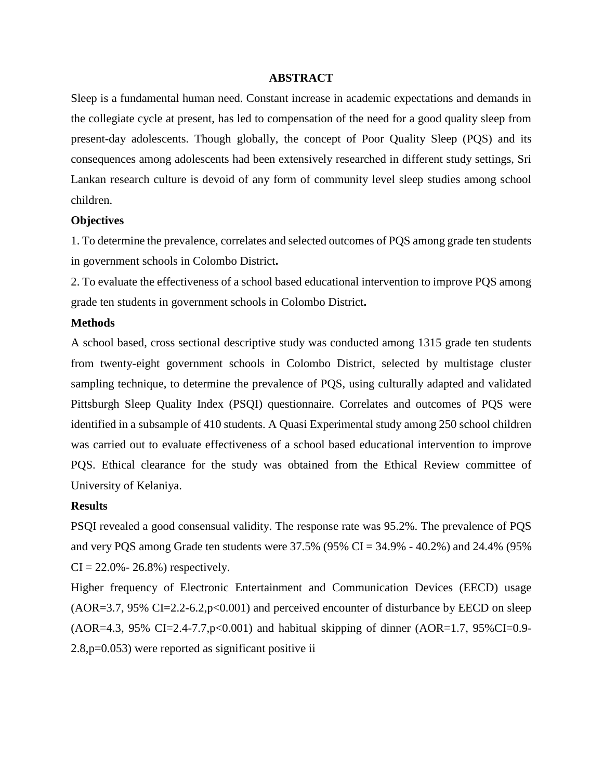## **ABSTRACT**

Sleep is a fundamental human need. Constant increase in academic expectations and demands in the collegiate cycle at present, has led to compensation of the need for a good quality sleep from present-day adolescents. Though globally, the concept of Poor Quality Sleep (PQS) and its consequences among adolescents had been extensively researched in different study settings, Sri Lankan research culture is devoid of any form of community level sleep studies among school children.

### **Objectives**

1. To determine the prevalence, correlates and selected outcomes of PQS among grade ten students in government schools in Colombo District**.** 

2. To evaluate the effectiveness of a school based educational intervention to improve PQS among grade ten students in government schools in Colombo District**.** 

## **Methods**

A school based, cross sectional descriptive study was conducted among 1315 grade ten students from twenty-eight government schools in Colombo District, selected by multistage cluster sampling technique, to determine the prevalence of PQS, using culturally adapted and validated Pittsburgh Sleep Quality Index (PSQI) questionnaire. Correlates and outcomes of PQS were identified in a subsample of 410 students. A Quasi Experimental study among 250 school children was carried out to evaluate effectiveness of a school based educational intervention to improve PQS. Ethical clearance for the study was obtained from the Ethical Review committee of University of Kelaniya.

### **Results**

PSQI revealed a good consensual validity. The response rate was 95.2%. The prevalence of PQS and very PQS among Grade ten students were 37.5% (95% CI = 34.9% - 40.2%) and 24.4% (95%  $CI = 22.0\% - 26.8\%$  respectively.

Higher frequency of Electronic Entertainment and Communication Devices (EECD) usage  $(AOR=3.7, 95\% CI=2.2-6.2, p<0.001)$  and perceived encounter of disturbance by EECD on sleep  $(AOR=4.3, 95\% CI=2.4-7.7, p<0.001)$  and habitual skipping of dinner  $(AOR=1.7, 95\%CI=0.9-1.001)$ 2.8,p=0.053) were reported as significant positive ii